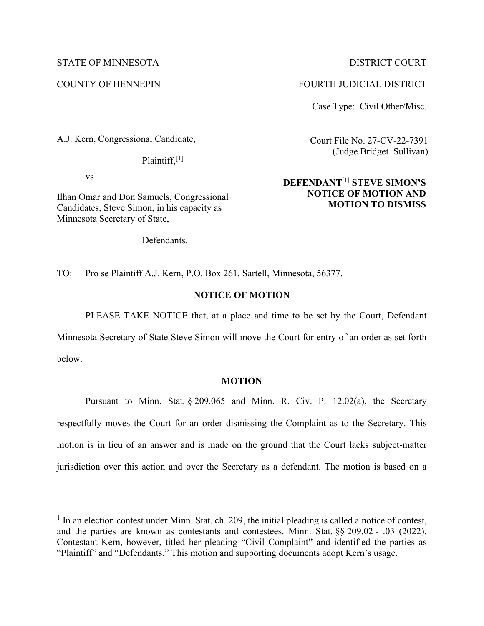### STATE OF MINNESOTA DISTRICT COURT

A.J. Kern, Congressional Candidate,

Plaintiff,<sup>[1]</sup>

vs.

Ilhan Omar and Don Samuels, Congressional Candidates, Steve Simon, in his capacity as Minnesota Secretary of State,

Defendants.

COUNTY OF HENNEPIN FOURTH JUDICIAL DISTRICT

Case Type: Civil Other/Misc.

Court File No. 27-CV-22-7391 (Judge Bridget Sullivan)

# **DEFENDANT**[1] **STEVE SIMON'S NOTICE OF MOTION AND MOTION TO DISMISS**

TO: Pro se Plaintiff A.J. Kern, P.O. Box 261, Sartell, Minnesota, 56377.

### **NOTICE OF MOTION**

PLEASE TAKE NOTICE that, at a place and time to be set by the Court, Defendant

Minnesota Secretary of State Steve Simon will move the Court for entry of an order as set forth below.

**MOTION**

Pursuant to Minn. Stat. § 209.065 and Minn. R. Civ. P. 12.02(a), the Secretary respectfully moves the Court for an order dismissing the Complaint as to the Secretary. This motion is in lieu of an answer and is made on the ground that the Court lacks subject-matter jurisdiction over this action and over the Secretary as a defendant. The motion is based on a

 $<sup>1</sup>$  In an election contest under Minn. Stat. ch. 209, the initial pleading is called a notice of contest,</sup> and the parties are known as contestants and contestees. Minn. Stat. §§ 209.02 - .03 (2022). Contestant Kern, however, titled her pleading "Civil Complaint" and identified the parties as "Plaintiff" and "Defendants." This motion and supporting documents adopt Kern's usage.